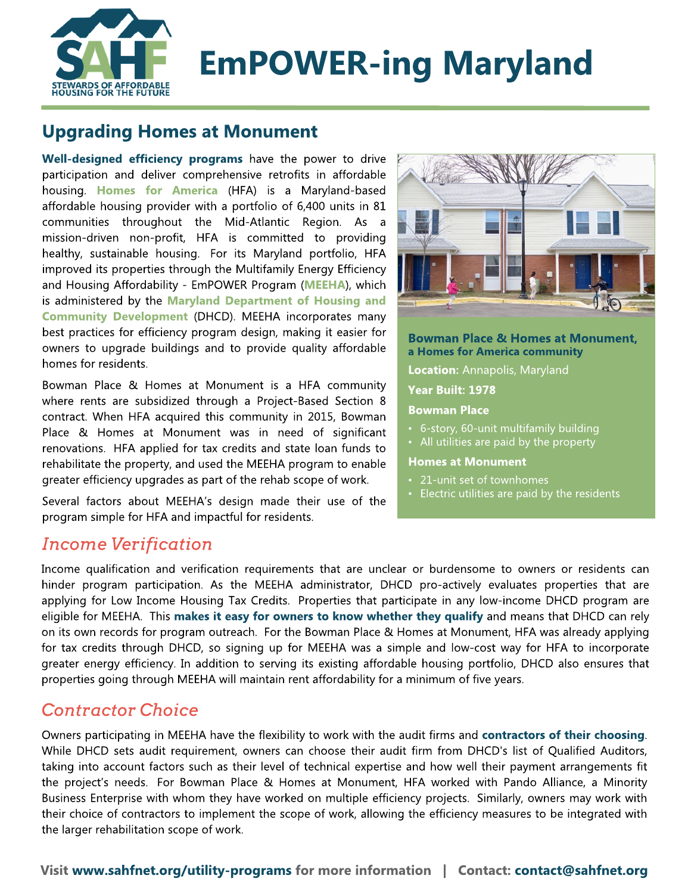

# EmPOWER-ing Maryland

# Upgrading Homes at Monument

Well-designed efficiency programs have the power to drive participation and deliver comprehensive retrofits in affordable housing. [Homes](http://www.homesforamerica.org/) [for](http://www.homesforamerica.org/) [America](http://www.homesforamerica.org/) (HFA) is a Maryland-based affordable housing provider with a portfolio of 6,400 units in 81 communities throughout the Mid-Atlantic Region. As a mission-driven non-profit, HFA is committed to providing healthy, sustainable housing. For its Maryland portfolio, HFA improved its properties through the Multifamily Energy Efficiency and Housing Affordability - EmPOWER Program ([MEEHA](https://sahfnet.org/sites/default/files/uploads/md_meeha_-_may_2019.pdf)), which is administered by the [Maryland](https://dhcd.maryland.gov/pages/default.aspx) [Department](https://dhcd.maryland.gov/pages/default.aspx) [of](https://dhcd.maryland.gov/pages/default.aspx) [Housing](https://dhcd.maryland.gov/pages/default.aspx) [and](https://dhcd.maryland.gov/pages/default.aspx) [Community](https://dhcd.maryland.gov/pages/default.aspx) [Development](https://dhcd.maryland.gov/pages/default.aspx) (DHCD). MEEHA incorporates many best practices for efficiency program design, making it easier for owners to upgrade buildings and to provide quality affordable homes for residents.

Bowman Place & Homes at Monument is a HFA community where rents are subsidized through a Project-Based Section 8 contract. When HFA acquired this community in 2015, Bowman Place & Homes at Monument was in need of significant renovations. HFA applied for tax credits and state loan funds to rehabilitate the property, and used the MEEHA program to enable greater efficiency upgrades as part of the rehab scope of work.

Several factors about MEEHA?s design made their use of the program simple for HFA and impactful for residents.



Bowman Place & Homes at Monument, a Homes for America community

Location: Annapolis, Maryland

Year Built: 1978

Bowman Place

- 6-story, 60-unit multifamily building
- All utilities are paid by the property

#### Homes at Monument

- 21-unit set of townhomes
- Electric utilities are paid by the residents

# **I ncome Verification**

Income qualification and verification requirements that are unclear or burdensome to owners or residents can hinder program participation. As the MEEHA administrator, DHCD pro-actively evaluates properties that are applying for Low Income Housing Tax Credits. Properties that participate in any low-income DHCD program are eligible for MEEHA. This makes it easy for owners to know whether they qualify and means that DHCD can rely on its own records for program outreach. For the Bowman Place & Homes at Monument, HFA was already applying for tax credits through DHCD, so signing up for MEEHA was a simple and low-cost way for HFA to incorporate greater energy efficiency. In addition to serving its existing affordable housing portfolio, DHCD also ensures that properties going through MEEHA will maintain rent affordability for a minimum of five years.

#### **Contractor Choice**

Owners participating in MEEHA have the flexibility to work with the audit firms and contractors of their choosing. While DHCD sets audit requirement, owners can choose their audit firm from DHCD's list of Qualified Auditors, taking into account factors such as their level of technical expertise and how well their payment arrangements fit the project's needs. For Bowman Place & Homes at Monument, HFA worked with Pando Alliance, a Minority Business Enterprise with whom they have worked on multiple efficiency projects. Similarly, owners may work with their choice of contractors to implement the scope of work, allowing the efficiency measures to be integrated with the larger rehabilitation scope of work.